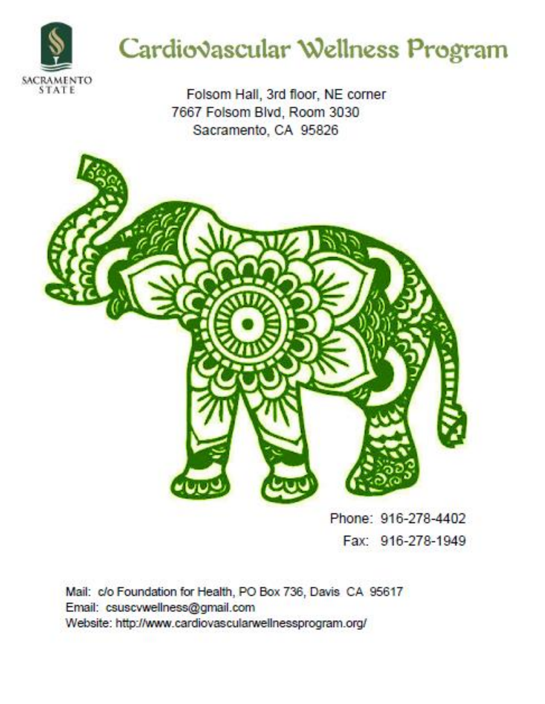

# Cardiovascular Wellness Program

Folsom Hall, 3rd floor, NE corner 7667 Folsom Blvd, Room 3030 Sacramento, CA 95826



Phone: 916-278-4402 Fax: 916-278-1949

Mail: c/o Foundation for Health, PO Box 736, Davis CA 95617 Email: csuscvwellness@gmail.com Website: http://www.cardiovascularwellnessprogram.org/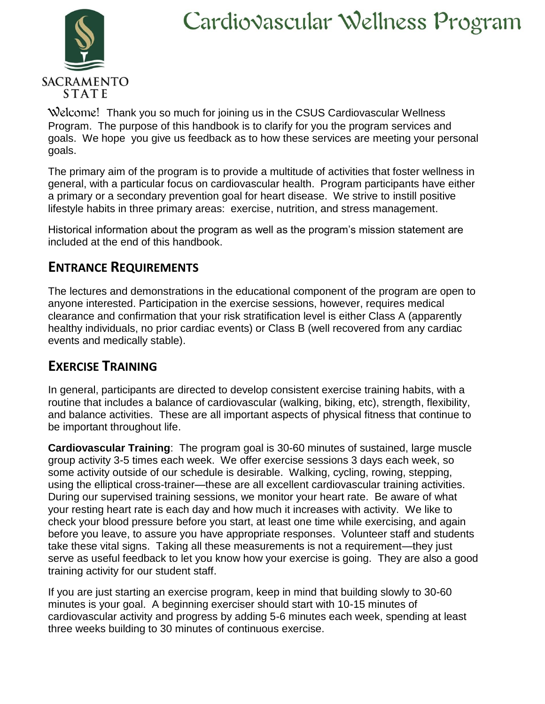



Welcome! Thank you so much for joining us in the CSUS Cardiovascular Wellness Program. The purpose of this handbook is to clarify for you the program services and goals. We hope you give us feedback as to how these services are meeting your personal goals.

The primary aim of the program is to provide a multitude of activities that foster wellness in general, with a particular focus on cardiovascular health. Program participants have either a primary or a secondary prevention goal for heart disease. We strive to instill positive lifestyle habits in three primary areas: exercise, nutrition, and stress management.

Historical information about the program as well as the program's mission statement are included at the end of this handbook.

#### **ENTRANCE REQUIREMENTS**

The lectures and demonstrations in the educational component of the program are open to anyone interested. Participation in the exercise sessions, however, requires medical clearance and confirmation that your risk stratification level is either Class A (apparently healthy individuals, no prior cardiac events) or Class B (well recovered from any cardiac events and medically stable).

#### **EXERCISE TRAINING**

In general, participants are directed to develop consistent exercise training habits, with a routine that includes a balance of cardiovascular (walking, biking, etc), strength, flexibility, and balance activities. These are all important aspects of physical fitness that continue to be important throughout life.

**Cardiovascular Training**: The program goal is 30-60 minutes of sustained, large muscle group activity 3-5 times each week. We offer exercise sessions 3 days each week, so some activity outside of our schedule is desirable. Walking, cycling, rowing, stepping, using the elliptical cross-trainer—these are all excellent cardiovascular training activities. During our supervised training sessions, we monitor your heart rate. Be aware of what your resting heart rate is each day and how much it increases with activity. We like to check your blood pressure before you start, at least one time while exercising, and again before you leave, to assure you have appropriate responses. Volunteer staff and students take these vital signs. Taking all these measurements is not a requirement—they just serve as useful feedback to let you know how your exercise is going. They are also a good training activity for our student staff.

If you are just starting an exercise program, keep in mind that building slowly to 30-60 minutes is your goal. A beginning exerciser should start with 10-15 minutes of cardiovascular activity and progress by adding 5-6 minutes each week, spending at least three weeks building to 30 minutes of continuous exercise.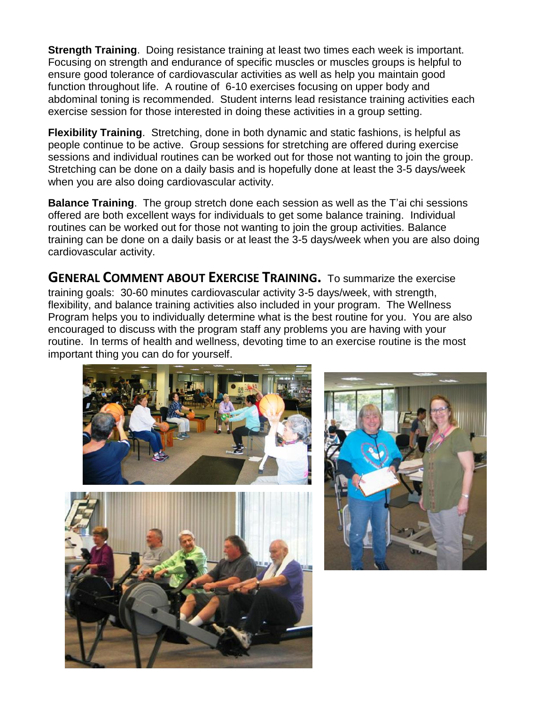**Strength Training**. Doing resistance training at least two times each week is important. Focusing on strength and endurance of specific muscles or muscles groups is helpful to ensure good tolerance of cardiovascular activities as well as help you maintain good function throughout life. A routine of 6-10 exercises focusing on upper body and abdominal toning is recommended. Student interns lead resistance training activities each exercise session for those interested in doing these activities in a group setting.

**Flexibility Training**. Stretching, done in both dynamic and static fashions, is helpful as people continue to be active. Group sessions for stretching are offered during exercise sessions and individual routines can be worked out for those not wanting to join the group. Stretching can be done on a daily basis and is hopefully done at least the 3-5 days/week when you are also doing cardiovascular activity.

**Balance Training**. The group stretch done each session as well as the T'ai chi sessions offered are both excellent ways for individuals to get some balance training. Individual routines can be worked out for those not wanting to join the group activities. Balance training can be done on a daily basis or at least the 3-5 days/week when you are also doing cardiovascular activity.

**GENERAL COMMENT ABOUT EXERCISE TRAINING.** To summarize the exercise training goals: 30-60 minutes cardiovascular activity 3-5 days/week, with strength, flexibility, and balance training activities also included in your program. The Wellness Program helps you to individually determine what is the best routine for you. You are also encouraged to discuss with the program staff any problems you are having with your routine. In terms of health and wellness, devoting time to an exercise routine is the most important thing you can do for yourself.





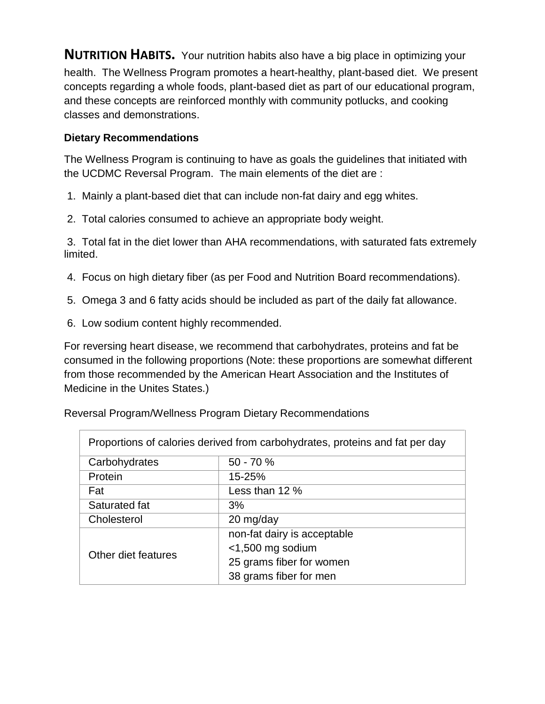**NUTRITION HABITS.** Your nutrition habits also have a big place in optimizing your health. The Wellness Program promotes a heart-healthy, plant-based diet. We present concepts regarding a whole foods, plant-based diet as part of our educational program, and these concepts are reinforced monthly with community potlucks, and cooking classes and demonstrations.

#### **Dietary Recommendations**

The Wellness Program is continuing to have as goals the guidelines that initiated with the UCDMC Reversal Program. The main elements of the diet are :

- 1. Mainly a plant-based diet that can include non-fat dairy and egg whites.
- 2. Total calories consumed to achieve an appropriate body weight.

3. Total fat in the diet lower than AHA recommendations, with saturated fats extremely limited.

- 4. Focus on high dietary fiber (as per Food and Nutrition Board recommendations).
- 5. Omega 3 and 6 fatty acids should be included as part of the daily fat allowance.
- 6. Low sodium content highly recommended.

For reversing heart disease, we recommend that carbohydrates, proteins and fat be consumed in the following proportions (Note: these proportions are somewhat different from those recommended by the American Heart Association and the Institutes of Medicine in the Unites States.)

| Proportions of calories derived from carbohydrates, proteins and fat per day |                             |  |
|------------------------------------------------------------------------------|-----------------------------|--|
| Carbohydrates                                                                | $50 - 70%$                  |  |
| Protein                                                                      | 15-25%                      |  |
| Fat                                                                          | Less than 12 %              |  |
| Saturated fat                                                                | 3%                          |  |
| Cholesterol                                                                  | 20 mg/day                   |  |
| Other diet features                                                          | non-fat dairy is acceptable |  |
|                                                                              | $<$ 1,500 mg sodium         |  |
|                                                                              | 25 grams fiber for women    |  |
|                                                                              | 38 grams fiber for men      |  |

Reversal Program/Wellness Program Dietary Recommendations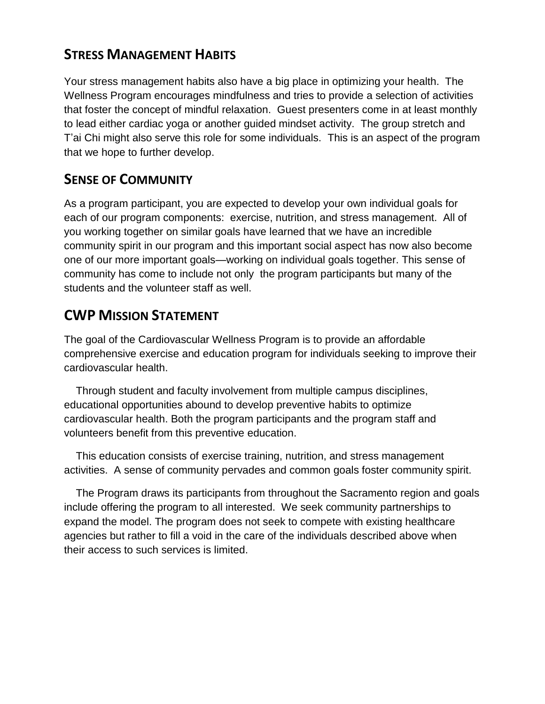# **STRESS MANAGEMENT HABITS**

Your stress management habits also have a big place in optimizing your health. The Wellness Program encourages mindfulness and tries to provide a selection of activities that foster the concept of mindful relaxation. Guest presenters come in at least monthly to lead either cardiac yoga or another guided mindset activity. The group stretch and T'ai Chi might also serve this role for some individuals. This is an aspect of the program that we hope to further develop.

## **SENSE OF COMMUNITY**

As a program participant, you are expected to develop your own individual goals for each of our program components: exercise, nutrition, and stress management. All of you working together on similar goals have learned that we have an incredible community spirit in our program and this important social aspect has now also become one of our more important goals—working on individual goals together. This sense of community has come to include not only the program participants but many of the students and the volunteer staff as well.

### **CWP MISSION STATEMENT**

The goal of the Cardiovascular Wellness Program is to provide an affordable comprehensive exercise and education program for individuals seeking to improve their cardiovascular health.

 Through student and faculty involvement from multiple campus disciplines, educational opportunities abound to develop preventive habits to optimize cardiovascular health. Both the program participants and the program staff and volunteers benefit from this preventive education.

 This education consists of exercise training, nutrition, and stress management activities. A sense of community pervades and common goals foster community spirit.

 The Program draws its participants from throughout the Sacramento region and goals include offering the program to all interested. We seek community partnerships to expand the model. The program does not seek to compete with existing healthcare agencies but rather to fill a void in the care of the individuals described above when their access to such services is limited.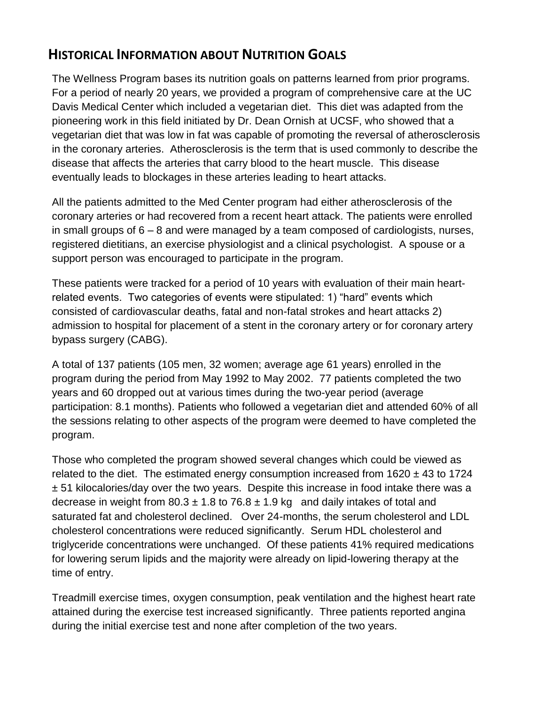## **HISTORICAL INFORMATION ABOUT NUTRITION GOALS**

The Wellness Program bases its nutrition goals on patterns learned from prior programs. For a period of nearly 20 years, we provided a program of comprehensive care at the UC Davis Medical Center which included a vegetarian diet. This diet was adapted from the pioneering work in this field initiated by Dr. Dean Ornish at UCSF, who showed that a vegetarian diet that was low in fat was capable of promoting the reversal of atherosclerosis in the coronary arteries. Atherosclerosis is the term that is used commonly to describe the disease that affects the arteries that carry blood to the heart muscle. This disease eventually leads to blockages in these arteries leading to heart attacks.

All the patients admitted to the Med Center program had either atherosclerosis of the coronary arteries or had recovered from a recent heart attack. The patients were enrolled in small groups of  $6 - 8$  and were managed by a team composed of cardiologists, nurses, registered dietitians, an exercise physiologist and a clinical psychologist. A spouse or a support person was encouraged to participate in the program.

These patients were tracked for a period of 10 years with evaluation of their main heartrelated events. Two categories of events were stipulated: 1) "hard" events which consisted of cardiovascular deaths, fatal and non-fatal strokes and heart attacks 2) admission to hospital for placement of a stent in the coronary artery or for coronary artery bypass surgery (CABG).

A total of 137 patients (105 men, 32 women; average age 61 years) enrolled in the program during the period from May 1992 to May 2002. 77 patients completed the two years and 60 dropped out at various times during the two-year period (average participation: 8.1 months). Patients who followed a vegetarian diet and attended 60% of all the sessions relating to other aspects of the program were deemed to have completed the program.

Those who completed the program showed several changes which could be viewed as related to the diet. The estimated energy consumption increased from  $1620 \pm 43$  to 1724  $\pm$  51 kilocalories/day over the two years. Despite this increase in food intake there was a decrease in weight from  $80.3 \pm 1.8$  to  $76.8 \pm 1.9$  kg and daily intakes of total and saturated fat and cholesterol declined. Over 24-months, the serum cholesterol and LDL cholesterol concentrations were reduced significantly. Serum HDL cholesterol and triglyceride concentrations were unchanged. Of these patients 41% required medications for lowering serum lipids and the majority were already on lipid-lowering therapy at the time of entry.

Treadmill exercise times, oxygen consumption, peak ventilation and the highest heart rate attained during the exercise test increased significantly. Three patients reported angina during the initial exercise test and none after completion of the two years.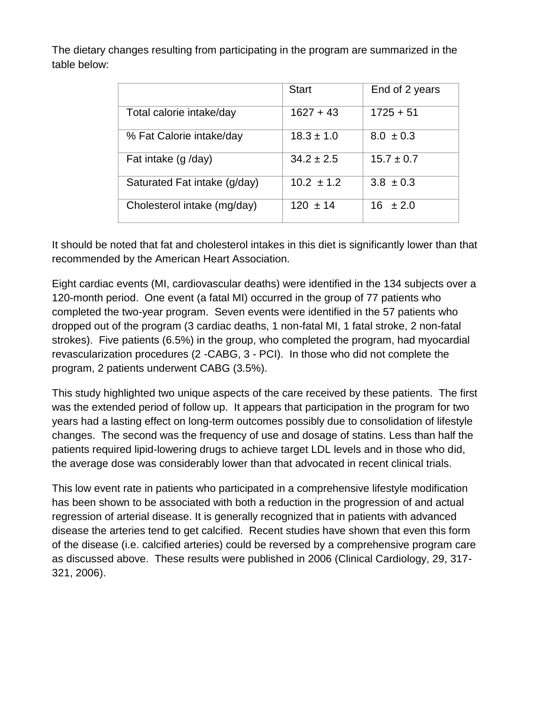The dietary changes resulting from participating in the program are summarized in the table below:

|                              | <b>Start</b>   | End of 2 years |
|------------------------------|----------------|----------------|
| Total calorie intake/day     | $1627 + 43$    | $1725 + 51$    |
| % Fat Calorie intake/day     | $18.3 \pm 1.0$ | $8.0 \pm 0.3$  |
| Fat intake (g/day)           | $34.2 \pm 2.5$ | $15.7 \pm 0.7$ |
| Saturated Fat intake (g/day) | $10.2 \pm 1.2$ | $3.8 \pm 0.3$  |
| Cholesterol intake (mg/day)  | $120 \pm 14$   | ± 2.0<br>16 -  |

It should be noted that fat and cholesterol intakes in this diet is significantly lower than that recommended by the American Heart Association.

Eight cardiac events (MI, cardiovascular deaths) were identified in the 134 subjects over a 120-month period. One event (a fatal MI) occurred in the group of 77 patients who completed the two-year program. Seven events were identified in the 57 patients who dropped out of the program (3 cardiac deaths, 1 non-fatal MI, 1 fatal stroke, 2 non-fatal strokes). Five patients (6.5%) in the group, who completed the program, had myocardial revascularization procedures (2 -CABG, 3 - PCI). In those who did not complete the program, 2 patients underwent CABG (3.5%).

This study highlighted two unique aspects of the care received by these patients. The first was the extended period of follow up. It appears that participation in the program for two years had a lasting effect on long-term outcomes possibly due to consolidation of lifestyle changes. The second was the frequency of use and dosage of statins. Less than half the patients required lipid-lowering drugs to achieve target LDL levels and in those who did, the average dose was considerably lower than that advocated in recent clinical trials.

This low event rate in patients who participated in a comprehensive lifestyle modification has been shown to be associated with both a reduction in the progression of and actual regression of arterial disease. It is generally recognized that in patients with advanced disease the arteries tend to get calcified. Recent studies have shown that even this form of the disease (i.e. calcified arteries) could be reversed by a comprehensive program care as discussed above. These results were published in 2006 (Clinical Cardiology, 29, 317- 321, 2006).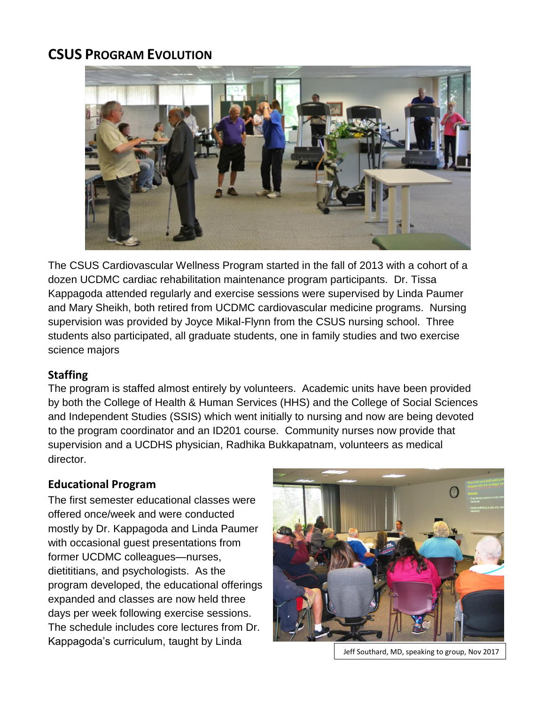# **CSUS PROGRAM EVOLUTION**



The CSUS Cardiovascular Wellness Program started in the fall of 2013 with a cohort of a dozen UCDMC cardiac rehabilitation maintenance program participants. Dr. Tissa Kappagoda attended regularly and exercise sessions were supervised by Linda Paumer and Mary Sheikh, both retired from UCDMC cardiovascular medicine programs. Nursing supervision was provided by Joyce Mikal-Flynn from the CSUS nursing school. Three students also participated, all graduate students, one in family studies and two exercise science majors

#### **Staffing**

The program is staffed almost entirely by volunteers. Academic units have been provided by both the College of Health & Human Services (HHS) and the College of Social Sciences and Independent Studies (SSIS) which went initially to nursing and now are being devoted to the program coordinator and an ID201 course. Community nurses now provide that supervision and a UCDHS physician, Radhika Bukkapatnam, volunteers as medical director.

#### **Educational Program**

The first semester educational classes were offered once/week and were conducted mostly by Dr. Kappagoda and Linda Paumer with occasional guest presentations from former UCDMC colleagues—nurses, dietititians, and psychologists. As the program developed, the educational offerings expanded and classes are now held three days per week following exercise sessions. The schedule includes core lectures from Dr. Kappagoda's curriculum, taught by Linda



Jeff Southard, MD, speaking to group, Nov 2017